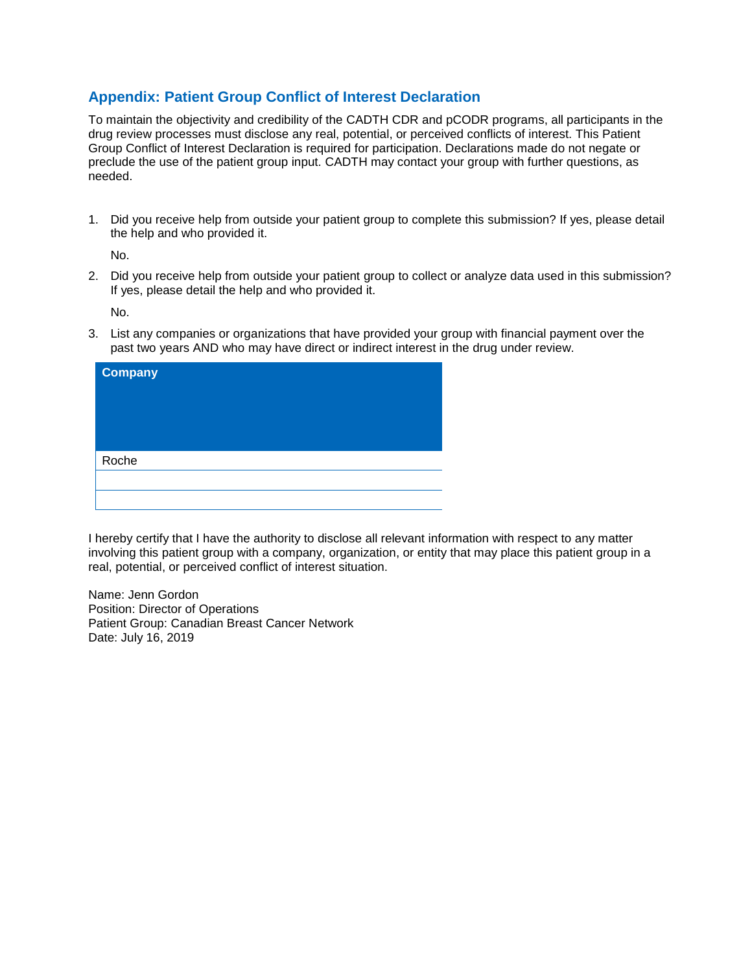## **Appendix: Patient Group Conflict of Interest Declaration**

To maintain the objectivity and credibility of the CADTH CDR and pCODR programs, all participants in the drug review processes must disclose any real, potential, or perceived conflicts of interest. This Patient Group Conflict of Interest Declaration is required for participation. Declarations made do not negate or preclude the use of the patient group input. CADTH may contact your group with further questions, as needed.

1. Did you receive help from outside your patient group to complete this submission? If yes, please detail the help and who provided it.

No.

2. Did you receive help from outside your patient group to collect or analyze data used in this submission? If yes, please detail the help and who provided it.

No.

3. List any companies or organizations that have provided your group with financial payment over the past two years AND who may have direct or indirect interest in the drug under review.

| <b>Company</b> |  |  |
|----------------|--|--|
|                |  |  |
|                |  |  |
|                |  |  |
| Roche          |  |  |
|                |  |  |
|                |  |  |

I hereby certify that I have the authority to disclose all relevant information with respect to any matter involving this patient group with a company, organization, or entity that may place this patient group in a real, potential, or perceived conflict of interest situation.

Name: Jenn Gordon Position: Director of Operations Patient Group: Canadian Breast Cancer Network Date: July 16, 2019